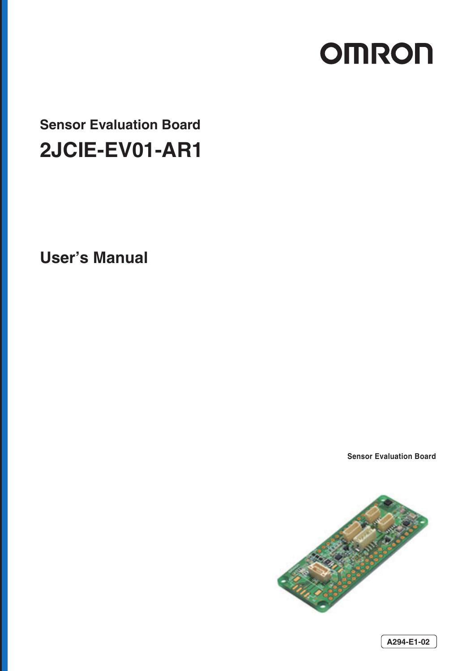# **OMRON**

# **Sensor Evaluation Board 2JCIE-EV01-AR1**

**User's Manual** 

**Sensor Evaluation Board**

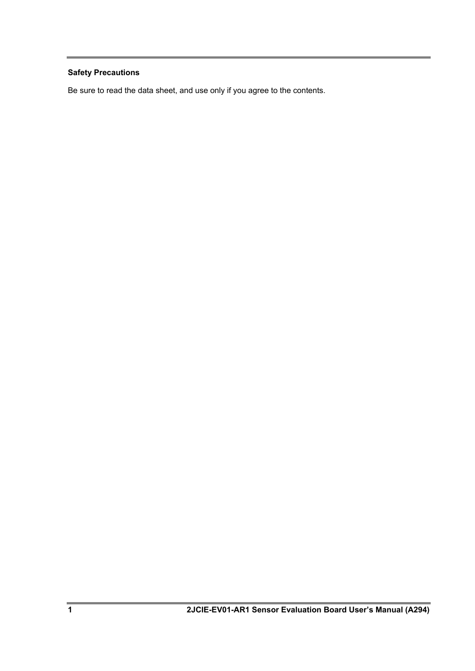# **Safety Precautions**

Be sure to read the data sheet, and use only if you agree to the contents.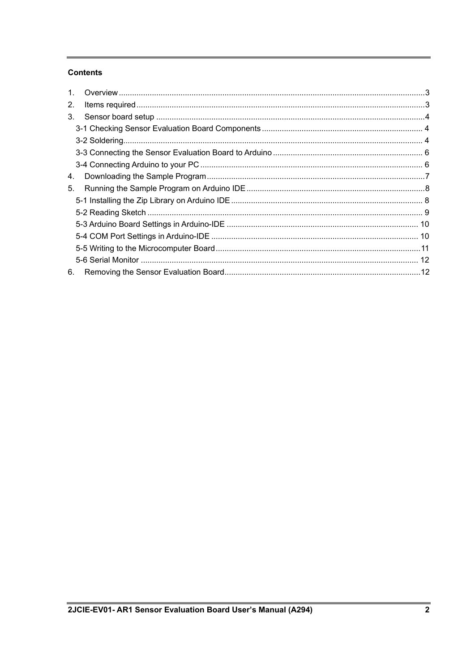## **Contents**

| $1_{-}$ |  |
|---------|--|
| 2.      |  |
| 3.      |  |
|         |  |
|         |  |
|         |  |
|         |  |
| 4.      |  |
| 5.      |  |
|         |  |
|         |  |
|         |  |
|         |  |
|         |  |
|         |  |
| 6.      |  |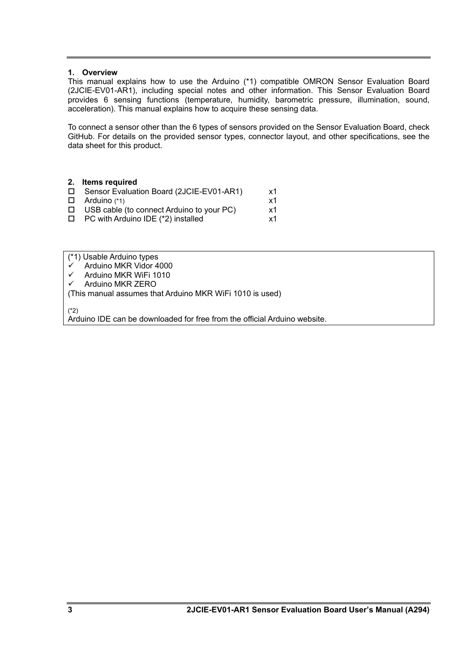#### <span id="page-3-0"></span>**1. Overview**

This manual explains how to use the Arduino (\*1) compatible OMRON Sensor Evaluation Board (2JCIE-EV01-AR1), including special notes and other information. This Sensor Evaluation Board provides 6 sensing functions (temperature, humidity, barometric pressure, illumination, sound, acceleration). This manual explains how to acquire these sensing data.

To connect a sensor other than the 6 types of sensors provided on the Sensor Evaluation Board, check GitHub. For details on the provided sensor types, connector layout, and other specifications, see the data sheet for this product.

<span id="page-3-1"></span>

| 2. Items required                                |    |
|--------------------------------------------------|----|
| □ Sensor Evaluation Board (2JCIE-EV01-AR1)       | x1 |
| $\Box$ Arduino (*1)                              | x1 |
| $\Box$ USB cable (to connect Arduino to your PC) | x1 |
| PC with Arduino IDE (*2) installed               | x1 |
|                                                  |    |

(\*1) Usable Arduino types

- $\checkmark$  Arduino MKR Vidor 4000
- $\checkmark$  Arduino MKR WiFi 1010
- Arduino MKR ZERO
- (This manual assumes that Arduino MKR WiFi 1010 is used)

(\*2)

Arduino IDE can be downloaded for free from the official Arduino website.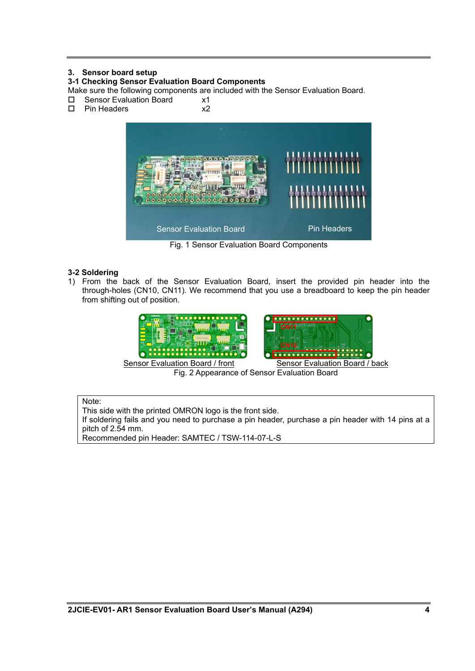### <span id="page-4-0"></span>**3. Sensor board setup**

#### <span id="page-4-1"></span>**3-1 Checking Sensor Evaluation Board Components**

Make sure the following components are included with the Sensor Evaluation Board.

- $\square$  Sensor Evaluation Board  $\times 1$ <br> $\square$  Pin Headers  $\times 2$
- $\square$  Pin Headers



Fig. 1 Sensor Evaluation Board Components

#### <span id="page-4-2"></span>**3-2 Soldering**

1) From the back of the Sensor Evaluation Board, insert the provided pin header into the through-holes (CN10, CN11). We recommend that you use a breadboard to keep the pin header from shifting out of position.



Fig. 2 Appearance of Sensor Evaluation Board

#### Note:

This side with the printed OMRON logo is the front side.

If soldering fails and you need to purchase a pin header, purchase a pin header with 14 pins at a pitch of 2.54 mm.

Recommended pin Header: SAMTEC / TSW-114-07-L-S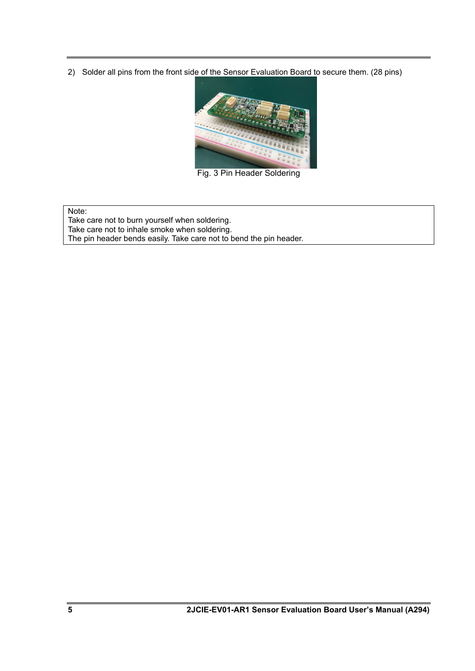2) Solder all pins from the front side of the Sensor Evaluation Board to secure them. (28 pins)



Fig. 3 Pin Header Soldering

Note:

Take care not to burn yourself when soldering. Take care not to inhale smoke when soldering. The pin header bends easily. Take care not to bend the pin header.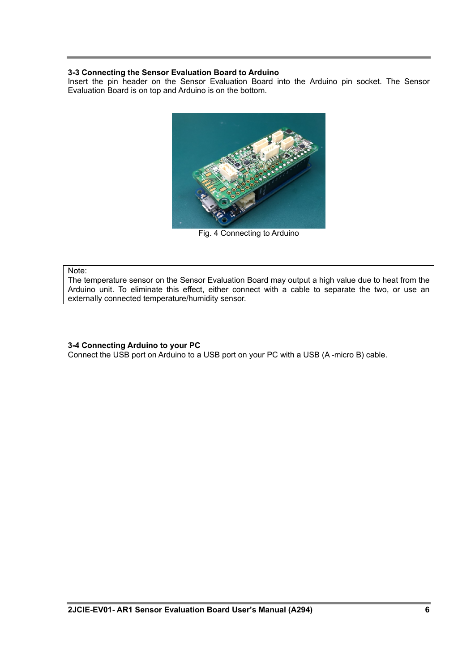#### <span id="page-6-0"></span>**3-3 Connecting the Sensor Evaluation Board to Arduino**

Insert the pin header on the Sensor Evaluation Board into the Arduino pin socket. The Sensor Evaluation Board is on top and Arduino is on the bottom.



Fig. 4 Connecting to Arduino

#### Note:

The temperature sensor on the Sensor Evaluation Board may output a high value due to heat from the Arduino unit. To eliminate this effect, either connect with a cable to separate the two, or use an externally connected temperature/humidity sensor.

#### <span id="page-6-1"></span>**3-4 Connecting Arduino to your PC**

Connect the USB port on Arduino to a USB port on your PC with a USB (A -micro B) cable.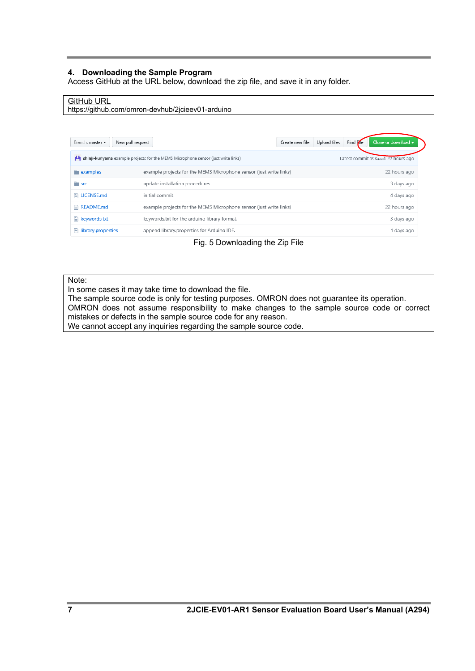#### <span id="page-7-0"></span>**4. Downloading the Sample Program**

Access GitHub at the URL below, download the zip file, and save it in any folder.

#### GitHub URL

https://github.com/omron-devhub/2jcieev01-arduino

| New pull request<br>Branch: master $\blacktriangledown$ |                                                                                    | Create new file | Find Fre<br>Upload files | Clone or download $\rightarrow$    |
|---------------------------------------------------------|------------------------------------------------------------------------------------|-----------------|--------------------------|------------------------------------|
| м                                                       | shinji-kuriyama example projects for the MEMS Microphone sensor (just write links) |                 |                          | Latest commit 198aaa1 22 hours ago |
| examples                                                | example projects for the MEMS Microphone sensor (just write links)                 |                 |                          | 22 hours ago                       |
| <b>SFC</b>                                              | update installation procedures.                                                    |                 |                          | 3 days ago                         |
| $\Box$ LICENSE.md                                       | initial commit.                                                                    |                 |                          | 4 days ago                         |
| $\mathbb{R}$ README.md                                  | example projects for the MEMS Microphone sensor (just write links)                 |                 |                          | 22 hours ago                       |
| $\mathbb{R}$ keywords.txt                               | keywords.txt for the arduino library format.                                       |                 |                          | 3 days ago                         |
| $\equiv$ library.properties                             | append library.properties for Arduino IDE.                                         |                 |                          | 4 days ago                         |

Fig. 5 Downloading the Zip File

#### Note:

In some cases it may take time to download the file.

The sample source code is only for testing purposes. OMRON does not guarantee its operation. OMRON does not assume responsibility to make changes to the sample source code or correct mistakes or defects in the sample source code for any reason. We cannot accept any inquiries regarding the sample source code.

**7 2JCIE-EV01-AR1 Sensor Evaluation Board User's Manual (A294)**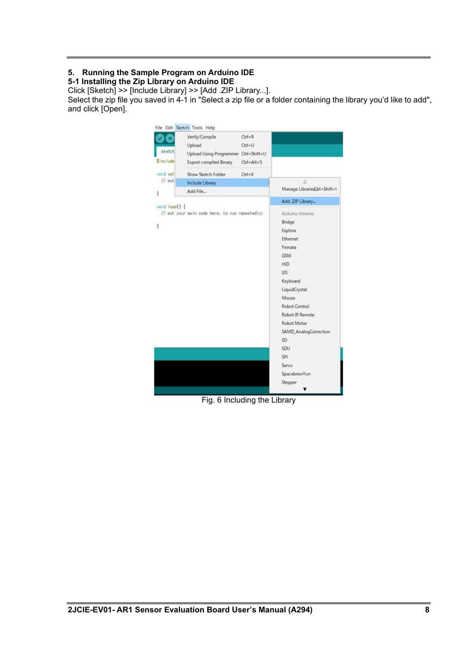# <span id="page-8-0"></span>**5. Running the Sample Program on Arduino IDE**

<span id="page-8-1"></span>**5-1 Installing the Zip Library on Arduino IDE**

Click [Sketch] >> [Include Library] >> [Add .ZIP Library...].

Select the zip file you saved in 4-1 in "Select a zip file or a folder containing the library you'd like to add", and click [Open].



Fig. 6 Including the Library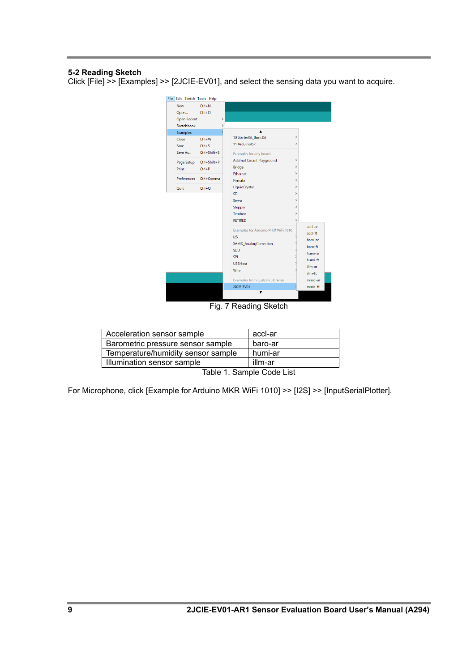#### <span id="page-9-0"></span>**5-2 Reading Sketch**

Click [File] >> [Examples] >> [2JCIE-EV01], and select the sensing data you want to acquire.



#### Fig. 7 Reading Sketch

| Illumination sensor sample         | illm-ar |
|------------------------------------|---------|
| Temperature/humidity sensor sample | humi-ar |
| Barometric pressure sensor sample  | baro-ar |
| Acceleration sensor sample         | accl-ar |
|                                    |         |

Table 1. Sample Code List

For Microphone, click [Example for Arduino MKR WiFi 1010] >> [I2S] >> [InputSerialPlotter].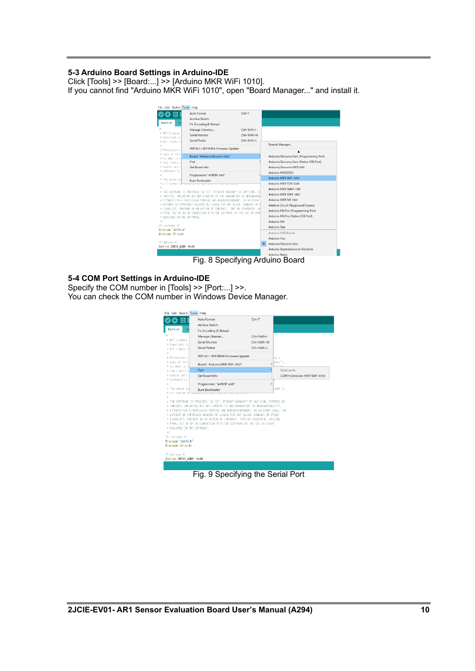#### <span id="page-10-0"></span>**5-3 Arduino Board Settings in Arduino-IDE**

Click [Tools] >> [Board:...] >> [Arduino MKR WiFi 1010]. If you cannot find "Arduino MKR WiFi 1010", open "Board Manager..." and install it.



Fig. 8 Specifying Arduino Board

#### <span id="page-10-1"></span>**5-4 COM Port Settings in Arduino-IDE**

Specify the COM number in [Tools] >> [Port:...] >>. You can check the COM number in Windows Device Manager.

|                                              | <b>Auto Format</b>                                                            | $Ctrl + T$         |                               |
|----------------------------------------------|-------------------------------------------------------------------------------|--------------------|-------------------------------|
|                                              | <b>Archive Sketch</b>                                                         |                    |                               |
| humi-ar                                      | Fix Encoding & Reload                                                         |                    |                               |
| 78                                           | Manage Libraries                                                              | $Ctrl + Shift + 1$ |                               |
| * MIT License                                | <b>Serial Monitor</b>                                                         | Ctrl+Shift+M       |                               |
| * Copyright (c<br>* All rights n             | <b>Serial Plotter</b>                                                         | Ctrl+Shift+L       |                               |
| 8                                            |                                                                               |                    |                               |
| * Permission i                               | WiFi101 / WiFiNINA Firmware Updater                                           |                    | ng a                          |
| * copy of this                               | Board: "Arduino MKR WiFi 1010"                                                |                    | ware").                       |
| * to deal in t                               | Port                                                                          |                    | Serial ports                  |
| * the rights t<br>* and/or sell              | <b>Get Board Info</b>                                                         |                    | COM15 (Arduino MKR WiFi 1010) |
| * Software is                                |                                                                               |                    |                               |
| sh                                           | Programmer: "AVRISP mkll"                                                     | $\mathcal{P}$      |                               |
| * The above col                              | <b>Burn Bootloader</b>                                                        |                    | uded in                       |
| * all copies of                              | <b>STREET STREET</b>                                                          |                    |                               |
| 8                                            | * THE SOFTWARE IS PROVIDED "AS IS", WITHOUT WARRANTY OF ANY KIND, EXPRESS OR  |                    |                               |
|                                              |                                                                               |                    |                               |
|                                              | * IMPLIED, INCLUDING BUT NOT LIMITED TO THE WARRANTIES OF MERCHANTABILITY.    |                    |                               |
|                                              | * ETTNESS EOR A PARTICULAR PURPOSE AND NONTNERINGEMENT. IN NO EVENT SHALL THE |                    |                               |
|                                              | * AUTHORS OR COPYRIGHT HOLDERS BE LIABLE FOR ANY CLAIM, DAMAGES OR OTHER      |                    |                               |
|                                              | * LIABILITY, WHETHER IN AN ACTION OF CONTRACT, TORT OR OTHERWISE, ARISING     |                    |                               |
|                                              | * FROM, OUT OF OR IN CONNECTION WITH THE SOFTWARE OR THE USE OR OTHER         |                    |                               |
| * DEALINGS IN THE SOFTWARE.<br>$\frac{1}{2}$ |                                                                               |                    |                               |
| /* includes */                               |                                                                               |                    |                               |
| Einclude "sht30.b"                           |                                                                               |                    |                               |
| ‡include <wire.h></wire.h>                   |                                                                               |                    |                               |
| /# defines #/                                |                                                                               |                    |                               |

Fig. 9 Specifying the Serial Port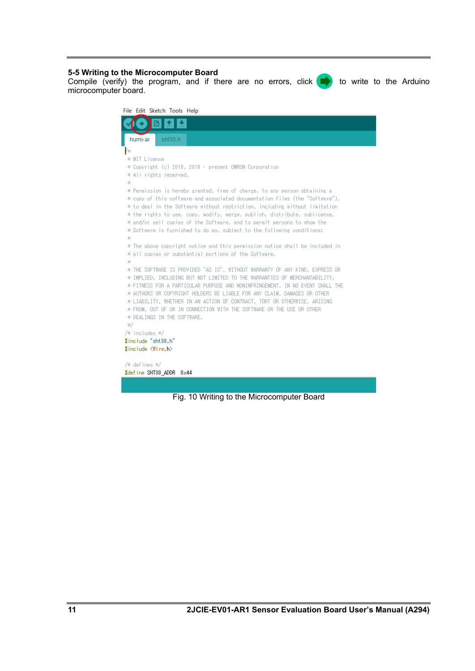#### <span id="page-11-0"></span>**5-5 Writing to the Microcomputer Board**

Compile (verify) the program, and if there are no errors, click  $\blacktriangleright$  to write to the Arduino microcomputer board.

| File Edit Sketch Tools Help                                                                                                                           |
|-------------------------------------------------------------------------------------------------------------------------------------------------------|
|                                                                                                                                                       |
| humi-ar<br>sht30.h                                                                                                                                    |
| łж                                                                                                                                                    |
| * MIT License                                                                                                                                         |
| * Copyright (c) 2019, 2018 - present OMRON Corporation                                                                                                |
| * All rights reserved.                                                                                                                                |
| 串                                                                                                                                                     |
| * Permission is hereby granted, free of charge, to any person obtaining a                                                                             |
| * copy of this software and associated documentation files (the "Software"),                                                                          |
| * to deal in the Software without restriction, including without limitation                                                                           |
| * the rights to use, copy, modify, merge, publish, distribute, sublicense,<br>* and/or sell copies of the Software, and to permit persons to whom the |
| * Software is furnished to do so, subject to the following conditions:                                                                                |
| *                                                                                                                                                     |
| * The above copyright notice and this permission notice shall be included in<br>$\sim$                                                                |
| * all copies or substantial portions of the Software.<br>$\sim$                                                                                       |
| 串                                                                                                                                                     |
| * THE SOFTWARE IS PROVIDED "AS IS", WITHOUT WARRANTY OF ANY KIND, EXPRESS OR                                                                          |
| * IMPLIED, INCLUDING BUT NOT LIMITED TO THE WARRANTIES OF MERCHANTABILITY,                                                                            |
| * FITNESS FOR A PARTICULAR PURPOSE AND NONINFRINGEMENT. IN NO EVENT SHALL THE                                                                         |
| * AUTHORS OR COPYRIGHT HOLDERS BE LIABLE FOR ANY CLAIM, DAMAGES OR OTHER                                                                              |
| * LIABILITY, WHETHER IN AN ACTION OF CONTRACT, TORT OR OTHERWISE, ARISING<br>* FROM, OUT OF OR IN CONNECTION WITH THE SOFTWARE OR THE USE OR OTHER    |
| * DEALINGS IN THE SOFTWARE.                                                                                                                           |
| $*/$                                                                                                                                                  |
| /* includes */                                                                                                                                        |
| #include "sht30.h"                                                                                                                                    |
| #include <wire.h></wire.h>                                                                                                                            |
|                                                                                                                                                       |
| /* defines */                                                                                                                                         |
| #define SHT30_ADDR 0x44                                                                                                                               |
|                                                                                                                                                       |

Fig. 10 Writing to the Microcomputer Board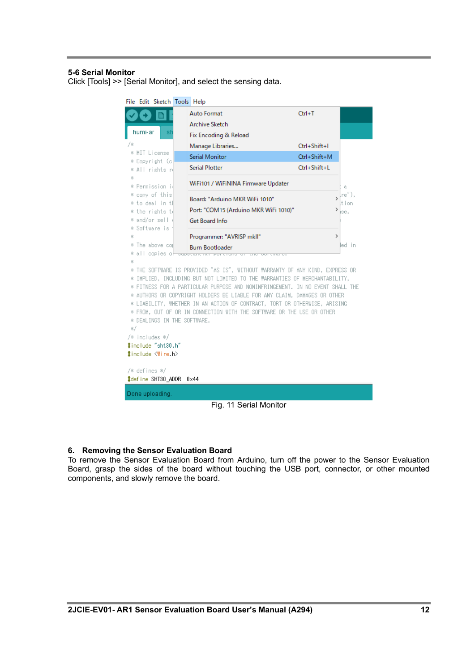#### <span id="page-12-0"></span>**5-6 Serial Monitor**

Click [Tools] >> [Serial Monitor], and select the sensing data.

| File Edit Sketch Tools Help          |                                                                                                                                                        |                                                                             |               |             |  |
|--------------------------------------|--------------------------------------------------------------------------------------------------------------------------------------------------------|-----------------------------------------------------------------------------|---------------|-------------|--|
|                                      |                                                                                                                                                        | <b>Auto Format</b>                                                          | $Ctrl+T$      |             |  |
|                                      |                                                                                                                                                        | <b>Archive Sketch</b>                                                       |               |             |  |
| humi-ar                              |                                                                                                                                                        | Fix Encoding & Reload                                                       |               |             |  |
| 78                                   |                                                                                                                                                        | Manage Libraries                                                            | Ctrl+Shift+I  |             |  |
| * MIT License<br>* Copyright (c      |                                                                                                                                                        | <b>Serial Monitor</b>                                                       | Ctrl+Shift+M  |             |  |
| * All rights r                       |                                                                                                                                                        | <b>Serial Plotter</b>                                                       | Ctrl+Shift+L  |             |  |
| 88<br>* Permission i                 |                                                                                                                                                        | WiFi101 / WiFiNINA Firmware Updater                                         |               |             |  |
| * copy of this                       |                                                                                                                                                        |                                                                             |               | a.<br>re~), |  |
| * to deal in t                       |                                                                                                                                                        | Board: "Arduino MKR WiFi 1010"                                              | >             | tion        |  |
| * the rights t                       |                                                                                                                                                        | Port: "COM15 (Arduino MKR WiFi 1010)"                                       | ⋗             | ise,        |  |
| * and/or sell<br>Software is         |                                                                                                                                                        | Get Board Info                                                              |               |             |  |
| 出.<br>\$                             |                                                                                                                                                        | Programmer: "AVRISP mkll"                                                   | $\rightarrow$ |             |  |
| The above col<br>₩.                  |                                                                                                                                                        | <b>Burn Bootloader</b>                                                      |               | led in      |  |
| all copies ol<br>*                   |                                                                                                                                                        | $-$ 50 m to 50 m to 10 m to 10 m                                            |               |             |  |
| *                                    |                                                                                                                                                        |                                                                             |               |             |  |
| ₩.<br>串                              | THE SOFTWARE IS PROVIDED "AS IS", WITHOUT WARRANTY OF ANY KIND, EXPRESS OR<br>IMPLIED, INCLUDING BUT NOT LIMITED TO THE WARRANTIES OF MERCHANTABILITY, |                                                                             |               |             |  |
| *                                    |                                                                                                                                                        | FITNESS FOR A PARTICULAR PURPOSE AND NONINFRINGEMENT. IN NO EVENT SHALL THE |               |             |  |
| 串.                                   |                                                                                                                                                        | AUTHORS OR COPYRIGHT HOLDERS BE LIABLE FOR ANY CLAIM, DAMAGES OR OTHER      |               |             |  |
|                                      |                                                                                                                                                        | * LIABILITY, WHETHER IN AN ACTION OF CONTRACT, TORT OR OTHERWISE, ARISING   |               |             |  |
|                                      | * FROM, OUT OF OR IN CONNECTION WITH THE SOFTWARE OR THE USE OR OTHER                                                                                  |                                                                             |               |             |  |
| * DEALINGS IN THE SOFTWARE.          |                                                                                                                                                        |                                                                             |               |             |  |
| 87                                   |                                                                                                                                                        |                                                                             |               |             |  |
| /* includes */<br>#include "sht30.h" |                                                                                                                                                        |                                                                             |               |             |  |
| #include <wire.h></wire.h>           |                                                                                                                                                        |                                                                             |               |             |  |
|                                      |                                                                                                                                                        |                                                                             |               |             |  |
| /* defines */                        |                                                                                                                                                        |                                                                             |               |             |  |
| #define SHT30_ADDR<br>$0\times 44$   |                                                                                                                                                        |                                                                             |               |             |  |
| Done uploading.                      |                                                                                                                                                        |                                                                             |               |             |  |
| Fig. 11 Serial Monitor               |                                                                                                                                                        |                                                                             |               |             |  |

#### <span id="page-12-1"></span>**6. Removing the Sensor Evaluation Board**

To remove the Sensor Evaluation Board from Arduino, turn off the power to the Sensor Evaluation Board, grasp the sides of the board without touching the USB port, connector, or other mounted components, and slowly remove the board.